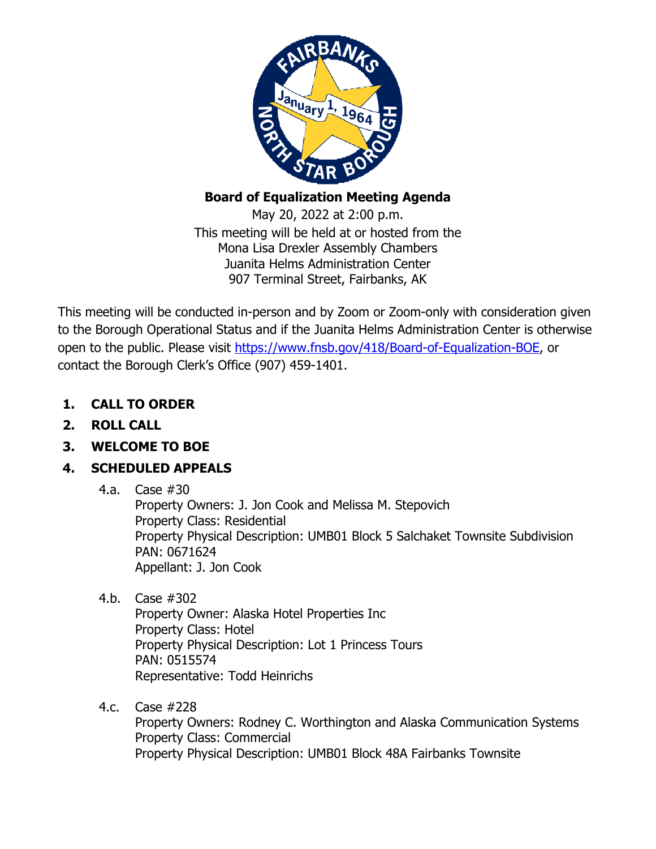

## **Board of Equalization Meeting Agenda**

May 20, 2022 at 2:00 p.m. This meeting will be held at or hosted from the Mona Lisa Drexler Assembly Chambers Juanita Helms Administration Center 907 Terminal Street, Fairbanks, AK

This meeting will be conducted in-person and by Zoom or Zoom-only with consideration given to the Borough Operational Status and if the Juanita Helms Administration Center is otherwise open to the public. Please visit [https://www.fnsb.gov/418/Board-of-Equalization-BOE,](https://www.fnsb.gov/418/Board-of-Equalization-BOE) or contact the Borough Clerk's Office (907) 459-1401.

- **1. CALL TO ORDER**
- **2. ROLL CALL**
- **3. WELCOME TO BOE**

# **4. SCHEDULED APPEALS**

4.a. Case #30

Property Owners: J. Jon Cook and Melissa M. Stepovich Property Class: Residential Property Physical Description: UMB01 Block 5 Salchaket Townsite Subdivision PAN: 0671624 Appellant: J. Jon Cook

4.b. Case #302

Property Owner: Alaska Hotel Properties Inc Property Class: Hotel Property Physical Description: Lot 1 Princess Tours PAN: 0515574 Representative: Todd Heinrichs

4.c. Case #228

Property Owners: Rodney C. Worthington and Alaska Communication Systems Property Class: Commercial Property Physical Description: UMB01 Block 48A Fairbanks Townsite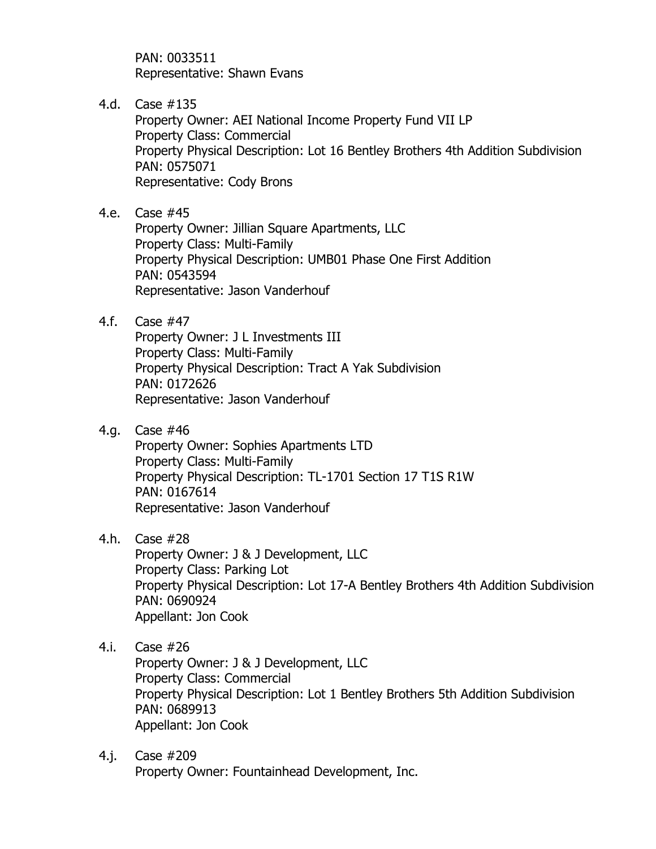PAN: 0033511 Representative: Shawn Evans

4.d. Case #135

Property Owner: AEI National Income Property Fund VII LP Property Class: Commercial Property Physical Description: Lot 16 Bentley Brothers 4th Addition Subdivision PAN: 0575071 Representative: Cody Brons

- 4.e. Case #45 Property Owner: Jillian Square Apartments, LLC Property Class: Multi-Family Property Physical Description: UMB01 Phase One First Addition PAN: 0543594 Representative: Jason Vanderhouf
- 4.f. Case #47

Property Owner: J L Investments III Property Class: Multi-Family Property Physical Description: Tract A Yak Subdivision PAN: 0172626 Representative: Jason Vanderhouf

4.g. Case #46

Property Owner: Sophies Apartments LTD Property Class: Multi-Family Property Physical Description: TL-1701 Section 17 T1S R1W PAN: 0167614 Representative: Jason Vanderhouf

4.h. Case #28

Property Owner: J & J Development, LLC Property Class: Parking Lot Property Physical Description: Lot 17-A Bentley Brothers 4th Addition Subdivision PAN: 0690924 Appellant: Jon Cook

4.i. Case #26

Property Owner: J & J Development, LLC Property Class: Commercial Property Physical Description: Lot 1 Bentley Brothers 5th Addition Subdivision PAN: 0689913 Appellant: Jon Cook

4.j. Case #209 Property Owner: Fountainhead Development, Inc.